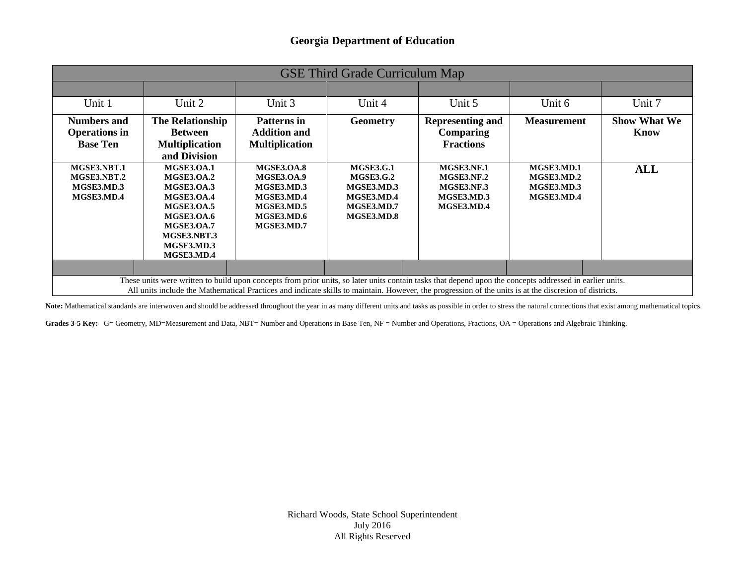| <b>GSE Third Grade Curriculum Map</b>                                                                                                                                                                                                                                                                              |                                                                                                                                                                                            |                                                                                                              |                                                                                              |                                                                    |                                                      |                             |
|--------------------------------------------------------------------------------------------------------------------------------------------------------------------------------------------------------------------------------------------------------------------------------------------------------------------|--------------------------------------------------------------------------------------------------------------------------------------------------------------------------------------------|--------------------------------------------------------------------------------------------------------------|----------------------------------------------------------------------------------------------|--------------------------------------------------------------------|------------------------------------------------------|-----------------------------|
|                                                                                                                                                                                                                                                                                                                    |                                                                                                                                                                                            |                                                                                                              |                                                                                              |                                                                    |                                                      |                             |
| Unit 1                                                                                                                                                                                                                                                                                                             | Unit 2                                                                                                                                                                                     | Unit 3                                                                                                       | Unit 4                                                                                       | Unit 5                                                             | Unit 6                                               | Unit 7                      |
| <b>Numbers and</b><br><b>Operations in</b><br><b>Base Ten</b>                                                                                                                                                                                                                                                      | The Relationship<br><b>Between</b><br><b>Multiplication</b><br>and Division                                                                                                                | <b>Patterns</b> in<br><b>Addition and</b><br><b>Multiplication</b>                                           | <b>Geometry</b>                                                                              | <b>Representing and</b><br><b>Comparing</b><br><b>Fractions</b>    | <b>Measurement</b>                                   | <b>Show What We</b><br>Know |
| MGSE3.NBT.1<br>MGSE3.NBT.2<br>MGSE3.MD.3<br>MGSE3.MD.4                                                                                                                                                                                                                                                             | <b>MGSE3.0A.1</b><br><b>MGSE3.OA.2</b><br><b>MGSE3.0A.3</b><br><b>MGSE3.OA.4</b><br><b>MGSE3.OA.5</b><br><b>MGSE3.OA.6</b><br><b>MGSE3.0A.7</b><br>MGSE3.NBT.3<br>MGSE3.MD.3<br>MGSE3.MD.4 | <b>MGSE3.OA.8</b><br><b>MGSE3.0A.9</b><br>MGSE3.MD.3<br>MGSE3.MD.4<br>MGSE3.MD.5<br>MGSE3.MD.6<br>MGSE3.MD.7 | <b>MGSE3.G.1</b><br><b>MGSE3.G.2</b><br>MGSE3.MD.3<br>MGSE3.MD.4<br>MGSE3.MD.7<br>MGSE3.MD.8 | MGSE3.NF.1<br>MGSE3.NF.2<br>MGSE3.NF.3<br>MGSE3.MD.3<br>MGSE3.MD.4 | MGSE3.MD.1<br>MGSE3.MD.2<br>MGSE3.MD.3<br>MGSE3.MD.4 | ALL                         |
|                                                                                                                                                                                                                                                                                                                    |                                                                                                                                                                                            |                                                                                                              |                                                                                              |                                                                    |                                                      |                             |
| These units were written to build upon concepts from prior units, so later units contain tasks that depend upon the concepts addressed in earlier units.<br>All units include the Mathematical Practices and indicate skills to maintain. However, the progression of the units is at the discretion of districts. |                                                                                                                                                                                            |                                                                                                              |                                                                                              |                                                                    |                                                      |                             |

Note: Mathematical standards are interwoven and should be addressed throughout the year in as many different units and tasks as possible in order to stress the natural connections that exist among mathematical topics.

Grades 3-5 Key: G= Geometry, MD=Measurement and Data, NBT= Number and Operations in Base Ten, NF = Number and Operations, Fractions, OA = Operations and Algebraic Thinking.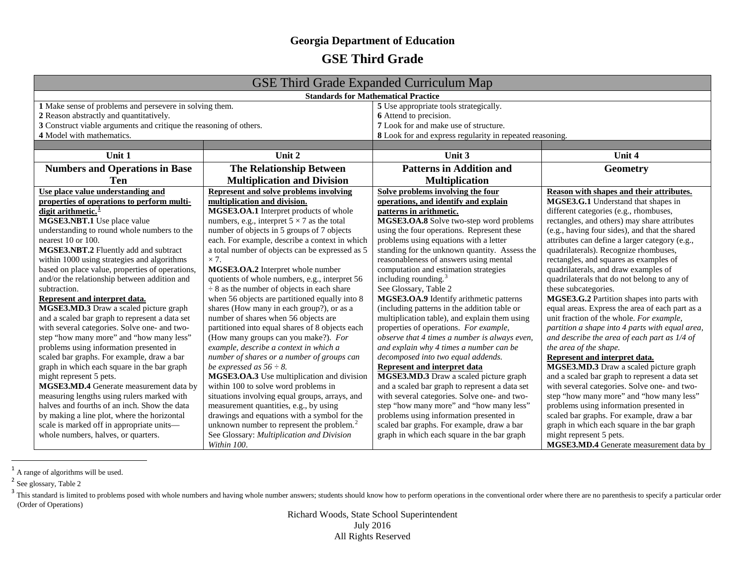## <span id="page-1-2"></span><span id="page-1-1"></span><span id="page-1-0"></span>**GSE Third Grade**

| <b>GSE Third Grade Expanded Curriculum Map</b>                     |                                                       |                                                          |                                                 |  |
|--------------------------------------------------------------------|-------------------------------------------------------|----------------------------------------------------------|-------------------------------------------------|--|
| <b>Standards for Mathematical Practice</b>                         |                                                       |                                                          |                                                 |  |
| 1 Make sense of problems and persevere in solving them.            |                                                       | 5 Use appropriate tools strategically.                   |                                                 |  |
| 2 Reason abstractly and quantitatively.                            |                                                       | 6 Attend to precision.                                   |                                                 |  |
| 3 Construct viable arguments and critique the reasoning of others. |                                                       | 7 Look for and make use of structure.                    |                                                 |  |
| 4 Model with mathematics.                                          |                                                       | 8 Look for and express regularity in repeated reasoning. |                                                 |  |
|                                                                    |                                                       |                                                          |                                                 |  |
| Unit 1                                                             | Unit 2                                                | Unit 3                                                   | Unit 4                                          |  |
| <b>Numbers and Operations in Base</b>                              | The Relationship Between                              | <b>Patterns in Addition and</b>                          | <b>Geometry</b>                                 |  |
| Ten                                                                | <b>Multiplication and Division</b>                    | <b>Multiplication</b>                                    |                                                 |  |
| Use place value understanding and                                  | <b>Represent and solve problems involving</b>         | Solve problems involving the four                        | Reason with shapes and their attributes.        |  |
| properties of operations to perform multi-                         | multiplication and division.                          | operations, and identify and explain                     | MGSE3.G.1 Understand that shapes in             |  |
| digit arithmetic. <sup>1</sup>                                     | MGSE3.OA.1 Interpret products of whole                | patterns in arithmetic.                                  | different categories (e.g., rhombuses,          |  |
| MGSE3.NBT.1 Use place value                                        | numbers, e.g., interpret $5 \times 7$ as the total    | MGSE3.OA.8 Solve two-step word problems                  | rectangles, and others) may share attributes    |  |
| understanding to round whole numbers to the                        | number of objects in 5 groups of 7 objects            | using the four operations. Represent these               | (e.g., having four sides), and that the shared  |  |
| nearest 10 or 100.                                                 | each. For example, describe a context in which        | problems using equations with a letter                   | attributes can define a larger category (e.g.,  |  |
| MGSE3.NBT.2 Fluently add and subtract                              | a total number of objects can be expressed as 5       | standing for the unknown quantity. Assess the            | quadrilaterals). Recognize rhombuses,           |  |
| within 1000 using strategies and algorithms                        | $\times$ 7.                                           | reasonableness of answers using mental                   | rectangles, and squares as examples of          |  |
| based on place value, properties of operations,                    | MGSE3.OA.2 Interpret whole number                     | computation and estimation strategies                    | quadrilaterals, and draw examples of            |  |
| and/or the relationship between addition and                       | quotients of whole numbers, e.g., interpret 56        | including rounding. $3$                                  | quadrilaterals that do not belong to any of     |  |
| subtraction.                                                       | $\div$ 8 as the number of objects in each share       | See Glossary, Table 2                                    | these subcategories.                            |  |
| Represent and interpret data.                                      | when 56 objects are partitioned equally into 8        | MGSE3.OA.9 Identify arithmetic patterns                  | MGSE3.G.2 Partition shapes into parts with      |  |
| MGSE3.MD.3 Draw a scaled picture graph                             | shares (How many in each group?), or as a             | (including patterns in the addition table or             | equal areas. Express the area of each part as a |  |
| and a scaled bar graph to represent a data set                     | number of shares when 56 objects are                  | multiplication table), and explain them using            | unit fraction of the whole. For example,        |  |
| with several categories. Solve one- and two-                       | partitioned into equal shares of 8 objects each       | properties of operations. For example,                   | partition a shape into 4 parts with equal area, |  |
| step "how many more" and "how many less"                           | (How many groups can you make?). For                  | observe that 4 times a number is always even,            | and describe the area of each part as 1/4 of    |  |
| problems using information presented in                            | example, describe a context in which a                | and explain why 4 times a number can be                  | the area of the shape.                          |  |
| scaled bar graphs. For example, draw a bar                         | number of shares or a number of groups can            | decomposed into two equal addends.                       | Represent and interpret data.                   |  |
| graph in which each square in the bar graph                        | be expressed as $56 \div 8$ .                         | <b>Represent and interpret data</b>                      | MGSE3.MD.3 Draw a scaled picture graph          |  |
| might represent 5 pets.                                            | MGSE3.OA.3 Use multiplication and division            | MGSE3.MD.3 Draw a scaled picture graph                   | and a scaled bar graph to represent a data set  |  |
| MGSE3.MD.4 Generate measurement data by                            | within 100 to solve word problems in                  | and a scaled bar graph to represent a data set           | with several categories. Solve one- and two-    |  |
| measuring lengths using rulers marked with                         | situations involving equal groups, arrays, and        | with several categories. Solve one- and two-             | step "how many more" and "how many less"        |  |
| halves and fourths of an inch. Show the data                       | measurement quantities, e.g., by using                | step "how many more" and "how many less"                 | problems using information presented in         |  |
| by making a line plot, where the horizontal                        | drawings and equations with a symbol for the          | problems using information presented in                  | scaled bar graphs. For example, draw a bar      |  |
| scale is marked off in appropriate units-                          | unknown number to represent the problem. <sup>2</sup> | scaled bar graphs. For example, draw a bar               | graph in which each square in the bar graph     |  |
| whole numbers, halves, or quarters.                                | See Glossary: Multiplication and Division             | graph in which each square in the bar graph              | might represent 5 pets.                         |  |
|                                                                    | Within 100.                                           |                                                          | MGSE3.MD.4 Generate measurement data by         |  |

 $1$  A range of algorithms will be used.

<sup>2</sup> See glossary, Table 2

Richard Woods, State School Superintendent July 2016 All Rights Reserved

<sup>&</sup>lt;sup>3</sup>This standard is limited to problems posed with whole numbers and having whole number answers; students should know how to perform operations in the conventional order where there are no parenthesis to specify a particu (Order of Operations)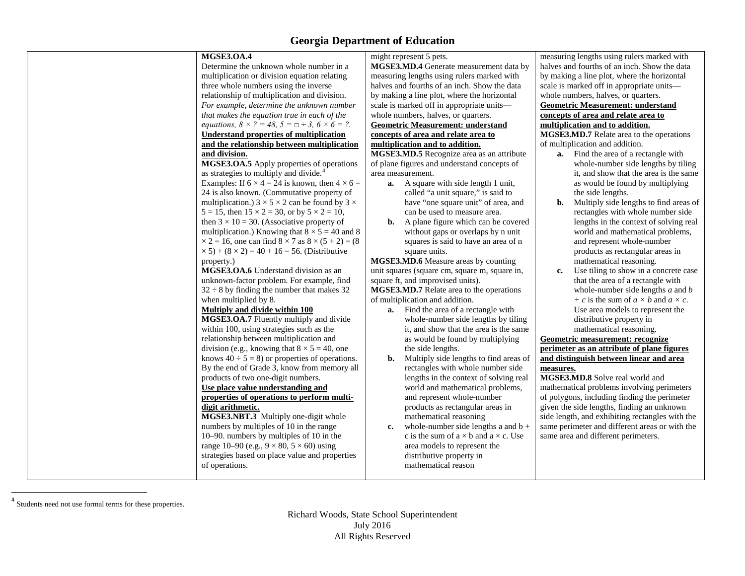<span id="page-2-0"></span>

| <b>MGSE3.OA.4</b>                                                               | might represent 5 pets.                             | measuring lengths using rulers marked with        |
|---------------------------------------------------------------------------------|-----------------------------------------------------|---------------------------------------------------|
| Determine the unknown whole number in a                                         | MGSE3.MD.4 Generate measurement data by             | halves and fourths of an inch. Show the data      |
| multiplication or division equation relating                                    | measuring lengths using rulers marked with          | by making a line plot, where the horizontal       |
| three whole numbers using the inverse                                           | halves and fourths of an inch. Show the data        | scale is marked off in appropriate units-         |
| relationship of multiplication and division.                                    | by making a line plot, where the horizontal         | whole numbers, halves, or quarters.               |
| For example, determine the unknown number                                       | scale is marked off in appropriate units-           | <b>Geometric Measurement: understand</b>          |
| that makes the equation true in each of the                                     | whole numbers, halves, or quarters.                 | concepts of area and relate area to               |
| <i>equations,</i> $8 \times ? = 48$ , $5 = \square \div 3$ , $6 \times 6 = ?$ . | <b>Geometric Measurement: understand</b>            | multiplication and to addition.                   |
| <b>Understand properties of multiplication</b>                                  | concepts of area and relate area to                 | MGSE3.MD.7 Relate area to the operations          |
| and the relationship between multiplication                                     | multiplication and to addition.                     | of multiplication and addition.                   |
| and division.                                                                   | MGSE3.MD.5 Recognize area as an attribute           | <b>a.</b> Find the area of a rectangle with       |
| MGSE3.OA.5 Apply properties of operations                                       | of plane figures and understand concepts of         | whole-number side lengths by tiling               |
| as strategies to multiply and divide. <sup>4</sup>                              | area measurement.                                   | it, and show that the area is the same            |
| Examples: If $6 \times 4 = 24$ is known, then $4 \times 6 =$                    | <b>a.</b> A square with side length 1 unit,         | as would be found by multiplying                  |
| 24 is also known. (Commutative property of                                      | called "a unit square," is said to                  | the side lengths.                                 |
| multiplication.) $3 \times 5 \times 2$ can be found by $3 \times$               | have "one square unit" of area, and                 | Multiply side lengths to find areas of<br>b.      |
| $5 = 15$ , then $15 \times 2 = 30$ , or by $5 \times 2 = 10$ ,                  | can be used to measure area.                        | rectangles with whole number side                 |
| then $3 \times 10 = 30$ . (Associative property of                              | A plane figure which can be covered<br>b.           | lengths in the context of solving real            |
| multiplication.) Knowing that $8 \times 5 = 40$ and 8                           | without gaps or overlaps by n unit                  | world and mathematical problems,                  |
| $\times$ 2 = 16, one can find 8 $\times$ 7 as 8 $\times$ (5 + 2) = (8)          | squares is said to have an area of n                | and represent whole-number                        |
| $\times$ 5) + (8 $\times$ 2) = 40 + 16 = 56. (Distributive                      | square units.                                       | products as rectangular areas in                  |
| property.)                                                                      | MGSE3.MD.6 Measure areas by counting                | mathematical reasoning.                           |
| MGSE3.OA.6 Understand division as an                                            | unit squares (square cm, square m, square in,       | Use tiling to show in a concrete case<br>c.       |
| unknown-factor problem. For example, find                                       | square ft, and improvised units).                   | that the area of a rectangle with                 |
| $32 \div 8$ by finding the number that makes 32                                 | MGSE3.MD.7 Relate area to the operations            | whole-number side lengths $a$ and $b$             |
| when multiplied by 8.                                                           | of multiplication and addition.                     | + c is the sum of $a \times b$ and $a \times c$ . |
| Multiply and divide within 100                                                  | <b>a.</b> Find the area of a rectangle with         | Use area models to represent the                  |
| MGSE3.OA.7 Fluently multiply and divide                                         | whole-number side lengths by tiling                 | distributive property in                          |
| within 100, using strategies such as the                                        | it, and show that the area is the same              | mathematical reasoning.                           |
| relationship between multiplication and                                         | as would be found by multiplying                    | Geometric measurement: recognize                  |
| division (e.g., knowing that $8 \times 5 = 40$ , one                            | the side lengths.                                   | perimeter as an attribute of plane figures        |
| knows $40 \div 5 = 8$ ) or properties of operations.                            | Multiply side lengths to find areas of<br>b.        | and distinguish between linear and area           |
| By the end of Grade 3, know from memory all                                     | rectangles with whole number side                   | measures.                                         |
| products of two one-digit numbers.                                              | lengths in the context of solving real              | MGSE3.MD.8 Solve real world and                   |
| Use place value understanding and                                               | world and mathematical problems,                    | mathematical problems involving perimeters        |
| properties of operations to perform multi-                                      | and represent whole-number                          | of polygons, including finding the perimeter      |
| digit arithmetic.                                                               | products as rectangular areas in                    | given the side lengths, finding an unknown        |
| MGSE3.NBT.3 Multiply one-digit whole                                            | mathematical reasoning                              | side length, and exhibiting rectangles with the   |
| numbers by multiples of 10 in the range                                         | whole-number side lengths a and $b +$<br>c.         | same perimeter and different areas or with the    |
| 10–90. numbers by multiples of 10 in the                                        | c is the sum of $a \times b$ and $a \times c$ . Use | same area and different perimeters.               |
| range 10–90 (e.g., $9 \times 80$ , $5 \times 60$ ) using                        | area models to represent the                        |                                                   |
| strategies based on place value and properties                                  | distributive property in                            |                                                   |
| of operations.                                                                  | mathematical reason                                 |                                                   |
|                                                                                 |                                                     |                                                   |

<sup>4</sup> Students need not use formal terms for these properties.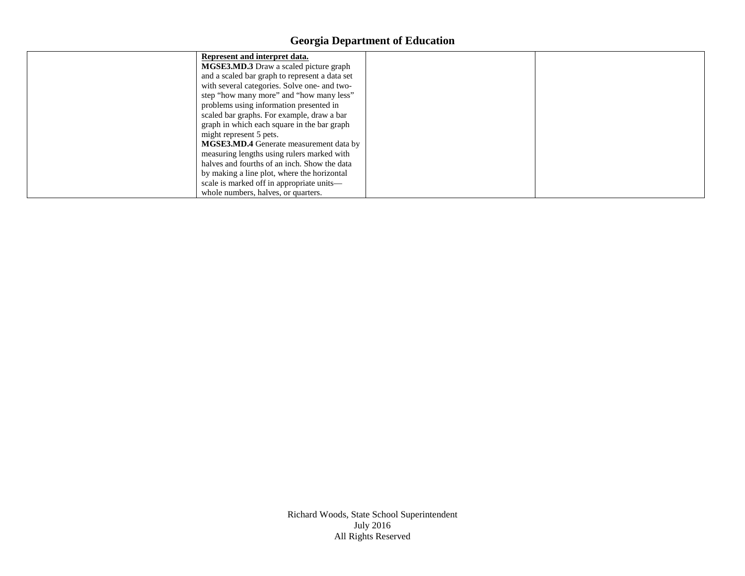| Represent and interpret data.<br><b>MGSE3.MD.3</b> Draw a scaled picture graph<br>and a scaled bar graph to represent a data set<br>with several categories. Solve one- and two-<br>step "how many more" and "how many less"                                                                                    |  |
|-----------------------------------------------------------------------------------------------------------------------------------------------------------------------------------------------------------------------------------------------------------------------------------------------------------------|--|
| problems using information presented in<br>scaled bar graphs. For example, draw a bar<br>graph in which each square in the bar graph<br>might represent 5 pets.<br><b>MGSE3.MD.4</b> Generate measurement data by<br>measuring lengths using rulers marked with<br>halves and fourths of an inch. Show the data |  |
| by making a line plot, where the horizontal<br>scale is marked off in appropriate units-<br>whole numbers, halves, or quarters.                                                                                                                                                                                 |  |

Richard Woods, State School Superintendent July 2016 All Rights Reserved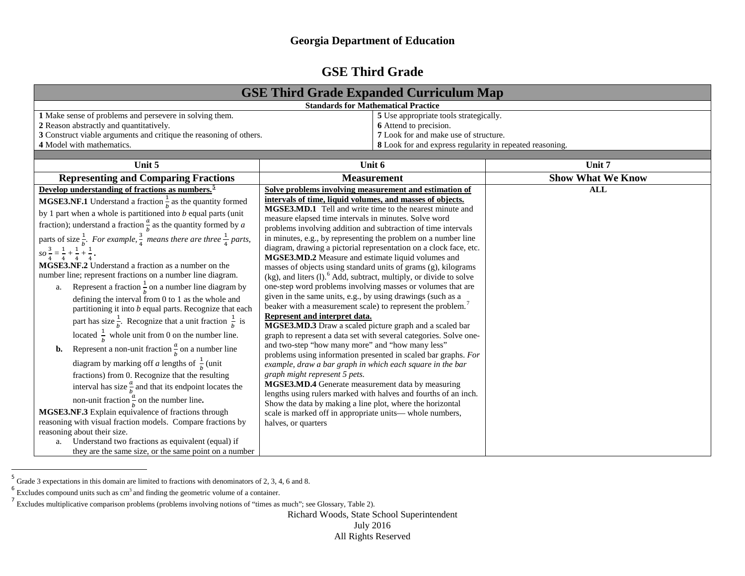## <span id="page-4-2"></span><span id="page-4-1"></span><span id="page-4-0"></span>**GSE Third Grade**

| <b>GSE Third Grade Expanded Curriculum Map</b>                                                                                                                                                                                                                                                                                                                                                                                                                                                                                                                                                                                                                                                                                                                                                                                                                                                                                                                                                                                                                                                                                                                                                                                                                                                                                                                                                                                                                                                                                              |                                                                                                                                                                                                                                                                                                                                                                                                                                                                                                                                                                                                                                                                                                                                                                                                                                                                                                                                                                                                                                                                                                                                                                                                                                                                                                                                                                                                                                                                                                                                     |                          |  |  |  |
|---------------------------------------------------------------------------------------------------------------------------------------------------------------------------------------------------------------------------------------------------------------------------------------------------------------------------------------------------------------------------------------------------------------------------------------------------------------------------------------------------------------------------------------------------------------------------------------------------------------------------------------------------------------------------------------------------------------------------------------------------------------------------------------------------------------------------------------------------------------------------------------------------------------------------------------------------------------------------------------------------------------------------------------------------------------------------------------------------------------------------------------------------------------------------------------------------------------------------------------------------------------------------------------------------------------------------------------------------------------------------------------------------------------------------------------------------------------------------------------------------------------------------------------------|-------------------------------------------------------------------------------------------------------------------------------------------------------------------------------------------------------------------------------------------------------------------------------------------------------------------------------------------------------------------------------------------------------------------------------------------------------------------------------------------------------------------------------------------------------------------------------------------------------------------------------------------------------------------------------------------------------------------------------------------------------------------------------------------------------------------------------------------------------------------------------------------------------------------------------------------------------------------------------------------------------------------------------------------------------------------------------------------------------------------------------------------------------------------------------------------------------------------------------------------------------------------------------------------------------------------------------------------------------------------------------------------------------------------------------------------------------------------------------------------------------------------------------------|--------------------------|--|--|--|
|                                                                                                                                                                                                                                                                                                                                                                                                                                                                                                                                                                                                                                                                                                                                                                                                                                                                                                                                                                                                                                                                                                                                                                                                                                                                                                                                                                                                                                                                                                                                             | <b>Standards for Mathematical Practice</b>                                                                                                                                                                                                                                                                                                                                                                                                                                                                                                                                                                                                                                                                                                                                                                                                                                                                                                                                                                                                                                                                                                                                                                                                                                                                                                                                                                                                                                                                                          |                          |  |  |  |
| 1 Make sense of problems and persevere in solving them.<br>2 Reason abstractly and quantitatively.<br>3 Construct viable arguments and critique the reasoning of others.<br>4 Model with mathematics.                                                                                                                                                                                                                                                                                                                                                                                                                                                                                                                                                                                                                                                                                                                                                                                                                                                                                                                                                                                                                                                                                                                                                                                                                                                                                                                                       | 5 Use appropriate tools strategically.<br>6 Attend to precision.<br>7 Look for and make use of structure.<br>8 Look for and express regularity in repeated reasoning.                                                                                                                                                                                                                                                                                                                                                                                                                                                                                                                                                                                                                                                                                                                                                                                                                                                                                                                                                                                                                                                                                                                                                                                                                                                                                                                                                               |                          |  |  |  |
|                                                                                                                                                                                                                                                                                                                                                                                                                                                                                                                                                                                                                                                                                                                                                                                                                                                                                                                                                                                                                                                                                                                                                                                                                                                                                                                                                                                                                                                                                                                                             |                                                                                                                                                                                                                                                                                                                                                                                                                                                                                                                                                                                                                                                                                                                                                                                                                                                                                                                                                                                                                                                                                                                                                                                                                                                                                                                                                                                                                                                                                                                                     |                          |  |  |  |
| Unit 5                                                                                                                                                                                                                                                                                                                                                                                                                                                                                                                                                                                                                                                                                                                                                                                                                                                                                                                                                                                                                                                                                                                                                                                                                                                                                                                                                                                                                                                                                                                                      | Unit 6                                                                                                                                                                                                                                                                                                                                                                                                                                                                                                                                                                                                                                                                                                                                                                                                                                                                                                                                                                                                                                                                                                                                                                                                                                                                                                                                                                                                                                                                                                                              | Unit 7                   |  |  |  |
| <b>Representing and Comparing Fractions</b>                                                                                                                                                                                                                                                                                                                                                                                                                                                                                                                                                                                                                                                                                                                                                                                                                                                                                                                                                                                                                                                                                                                                                                                                                                                                                                                                                                                                                                                                                                 | <b>Measurement</b>                                                                                                                                                                                                                                                                                                                                                                                                                                                                                                                                                                                                                                                                                                                                                                                                                                                                                                                                                                                                                                                                                                                                                                                                                                                                                                                                                                                                                                                                                                                  | <b>Show What We Know</b> |  |  |  |
| Develop understanding of fractions as numbers. <sup>5</sup><br><b>MGSE3.NF.1</b> Understand a fraction $\frac{1}{b}$ as the quantity formed<br>by 1 part when a whole is partitioned into $b$ equal parts (unit<br>fraction); understand a fraction $\frac{a}{b}$ as the quantity formed by a<br>parts of size $\frac{1}{b}$ . For example, $\frac{3}{4}$ means there are three $\frac{1}{4}$ parts,<br>$SO\frac{3}{4}=\frac{1}{4}+\frac{1}{4}+\frac{1}{4}$ .<br><b>MGSE3.NF.2</b> Understand a fraction as a number on the<br>number line; represent fractions on a number line diagram.<br>Represent a fraction $\frac{1}{h}$ on a number line diagram by<br>a.<br>defining the interval from 0 to 1 as the whole and<br>partitioning it into $b$ equal parts. Recognize that each<br>part has size $\frac{1}{b}$ . Recognize that a unit fraction $\frac{1}{b}$ is<br>located $\frac{1}{b}$ whole unit from 0 on the number line.<br>Represent a non-unit fraction $\frac{a}{b}$ on a number line<br>b.<br>diagram by marking off <i>a</i> lengths of $\frac{1}{b}$ (unit<br>fractions) from 0. Recognize that the resulting<br>interval has size $\frac{a}{b}$ and that its endpoint locates the<br>non-unit fraction $\frac{a}{b}$ on the number line.<br><b>MGSE3.NF.3</b> Explain equivalence of fractions through<br>reasoning with visual fraction models. Compare fractions by<br>reasoning about their size.<br>Understand two fractions as equivalent (equal) if<br>a.<br>they are the same size, or the same point on a number | Solve problems involving measurement and estimation of<br>intervals of time, liquid volumes, and masses of objects.<br>MGSE3.MD.1 Tell and write time to the nearest minute and<br>measure elapsed time intervals in minutes. Solve word<br>problems involving addition and subtraction of time intervals<br>in minutes, e.g., by representing the problem on a number line<br>diagram, drawing a pictorial representation on a clock face, etc.<br>MGSE3.MD.2 Measure and estimate liquid volumes and<br>masses of objects using standard units of grams (g), kilograms<br>$(kg)$ , and liters (1). <sup>6</sup> Add, subtract, multiply, or divide to solve<br>one-step word problems involving masses or volumes that are<br>given in the same units, e.g., by using drawings (such as a<br>beaker with a measurement scale) to represent the problem. <sup>7</sup><br>Represent and interpret data.<br>MGSE3.MD.3 Draw a scaled picture graph and a scaled bar<br>graph to represent a data set with several categories. Solve one-<br>and two-step "how many more" and "how many less"<br>problems using information presented in scaled bar graphs. For<br>example, draw a bar graph in which each square in the bar<br>graph might represent 5 pets.<br>MGSE3.MD.4 Generate measurement data by measuring<br>lengths using rulers marked with halves and fourths of an inch.<br>Show the data by making a line plot, where the horizontal<br>scale is marked off in appropriate units— whole numbers,<br>halves, or quarters | <b>ALL</b>               |  |  |  |

<sup>&</sup>lt;sup>5</sup> Grade 3 expectations in this domain are limited to fractions with denominators of 2, 3, 4, 6 and 8.

Richard Woods, State School Superintendent

July 2016

All Rights Reserved

<sup>&</sup>lt;sup>6</sup> Excludes compound units such as cm<sup>3</sup> and finding the geometric volume of a container.

<sup>7</sup> Excludes multiplicative comparison problems (problems involving notions of "times as much"; see Glossary, Table 2).